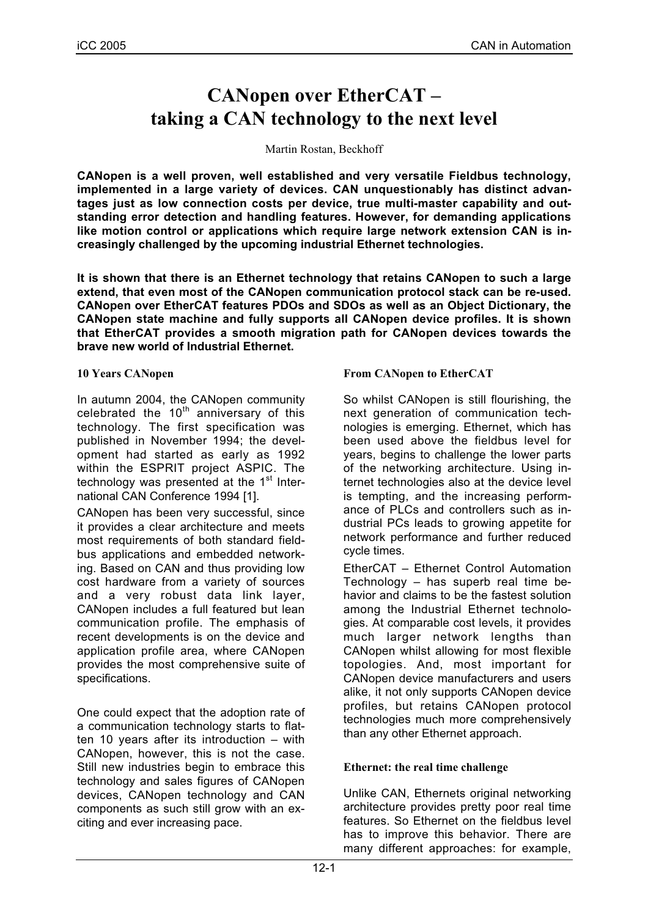# **CANopen over EtherCAT – taking a CAN technology to the next level**

#### Martin Rostan, Beckhoff

**CANopen is a well proven, well established and very versatile Fieldbus technology, implemented in a large variety of devices. CAN unquestionably has distinct advantages just as low connection costs per device, true multi-master capability and outstanding error detection and handling features. However, for demanding applications like motion control or applications which require large network extension CAN is increasingly challenged by the upcoming industrial Ethernet technologies.**

**It is shown that there is an Ethernet technology that retains CANopen to such a large extend, that even most of the CANopen communication protocol stack can be re-used. CANopen over EtherCAT features PDOs and SDOs as well as an Object Dictionary, the CANopen state machine and fully supports all CANopen device profiles. It is shown that EtherCAT provides a smooth migration path for CANopen devices towards the brave new world of Industrial Ethernet.**

#### **10 Years CANopen**

In autumn 2004, the CANopen community celebrated the  $10^{th}$  anniversary of this technology. The first specification was published in November 1994; the development had started as early as 1992 within the ESPRIT project ASPIC. The technology was presented at the  $1<sup>st</sup>$  International CAN Conference 1994 [1].

CANopen has been very successful, since it provides a clear architecture and meets most requirements of both standard fieldbus applications and embedded networking. Based on CAN and thus providing low cost hardware from a variety of sources and a very robust data link layer, CANopen includes a full featured but lean communication profile. The emphasis of recent developments is on the device and application profile area, where CANopen provides the most comprehensive suite of specifications.

One could expect that the adoption rate of a communication technology starts to flatten 10 years after its introduction – with CANopen, however, this is not the case. Still new industries begin to embrace this technology and sales figures of CANopen devices, CANopen technology and CAN components as such still grow with an exciting and ever increasing pace.

#### **From CANopen to EtherCAT**

So whilst CANopen is still flourishing, the next generation of communication technologies is emerging. Ethernet, which has been used above the fieldbus level for years, begins to challenge the lower parts of the networking architecture. Using internet technologies also at the device level is tempting, and the increasing performance of PLCs and controllers such as industrial PCs leads to growing appetite for network performance and further reduced cycle times.

EtherCAT – Ethernet Control Automation Technology – has superb real time behavior and claims to be the fastest solution among the Industrial Ethernet technologies. At comparable cost levels, it provides much larger network lengths than CANopen whilst allowing for most flexible topologies. And, most important for CANopen device manufacturers and users alike, it not only supports CANopen device profiles, but retains CANopen protocol technologies much more comprehensively than any other Ethernet approach.

#### **Ethernet: the real time challenge**

Unlike CAN, Ethernets original networking architecture provides pretty poor real time features. So Ethernet on the fieldbus level has to improve this behavior. There are many different approaches: for example,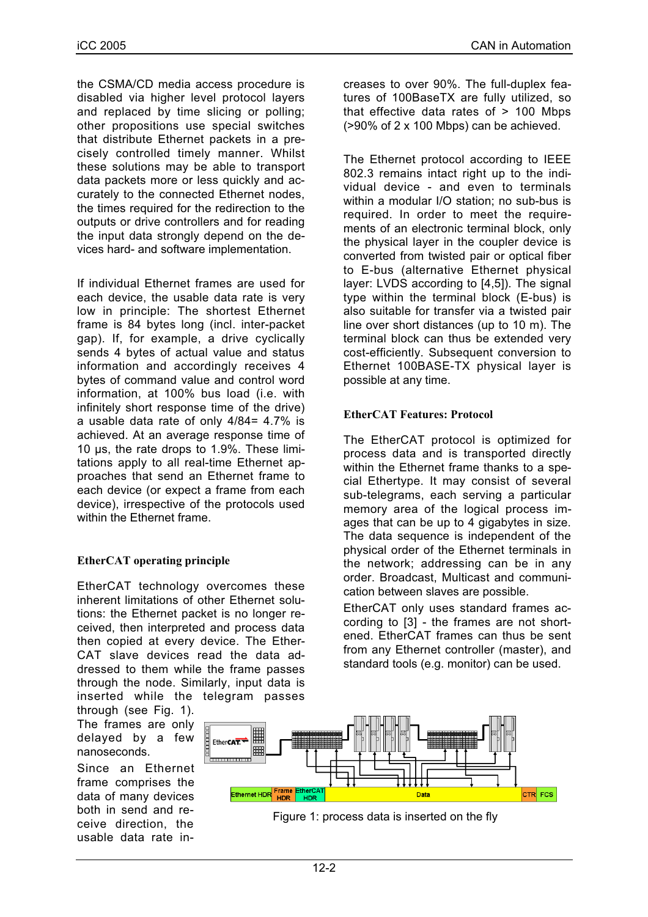the CSMA/CD media access procedure is disabled via higher level protocol layers and replaced by time slicing or polling; other propositions use special switches that distribute Ethernet packets in a precisely controlled timely manner. Whilst these solutions may be able to transport data packets more or less quickly and accurately to the connected Ethernet nodes, the times required for the redirection to the outputs or drive controllers and for reading the input data strongly depend on the devices hard- and software implementation.

If individual Ethernet frames are used for each device, the usable data rate is very low in principle: The shortest Ethernet frame is 84 bytes long (incl. inter-packet gap). If, for example, a drive cyclically sends 4 bytes of actual value and status information and accordingly receives 4 bytes of command value and control word information, at 100% bus load (i.e. with infinitely short response time of the drive) a usable data rate of only 4/84= 4.7% is achieved. At an average response time of 10 µs, the rate drops to 1.9%. These limitations apply to all real-time Ethernet approaches that send an Ethernet frame to each device (or expect a frame from each device), irrespective of the protocols used within the Ethernet frame.

## **EtherCAT operating principle**

EtherCAT technology overcomes these inherent limitations of other Ethernet solutions: the Ethernet packet is no longer received, then interpreted and process data then copied at every device. The Ether-CAT slave devices read the data addressed to them while the frame passes through the node. Similarly, input data is inserted while the telegram passes

through (see Fig. 1). The frames are only delayed by a few nanoseconds.

Since an Ethernet frame comprises the data of many devices both in send and receive direction, the usable data rate increases to over 90%. The full-duplex features of 100BaseTX are fully utilized, so that effective data rates of > 100 Mbps (>90% of 2 x 100 Mbps) can be achieved.

The Ethernet protocol according to IEEE 802.3 remains intact right up to the individual device - and even to terminals within a modular I/O station; no sub-bus is required. In order to meet the requirements of an electronic terminal block, only the physical layer in the coupler device is converted from twisted pair or optical fiber to E-bus (alternative Ethernet physical layer: LVDS according to [4,5]). The signal type within the terminal block (E-bus) is also suitable for transfer via a twisted pair line over short distances (up to 10 m). The terminal block can thus be extended very cost-efficiently. Subsequent conversion to Ethernet 100BASE-TX physical layer is possible at any time.

## **EtherCAT Features: Protocol**

The EtherCAT protocol is optimized for process data and is transported directly within the Ethernet frame thanks to a special Ethertype. It may consist of several sub-telegrams, each serving a particular memory area of the logical process images that can be up to 4 gigabytes in size. The data sequence is independent of the physical order of the Ethernet terminals in the network; addressing can be in any order. Broadcast, Multicast and communication between slaves are possible.

EtherCAT only uses standard frames according to [3] - the frames are not shortened. EtherCAT frames can thus be sent from any Ethernet controller (master), and standard tools (e.g. monitor) can be used.



Figure 1: process data is inserted on the fly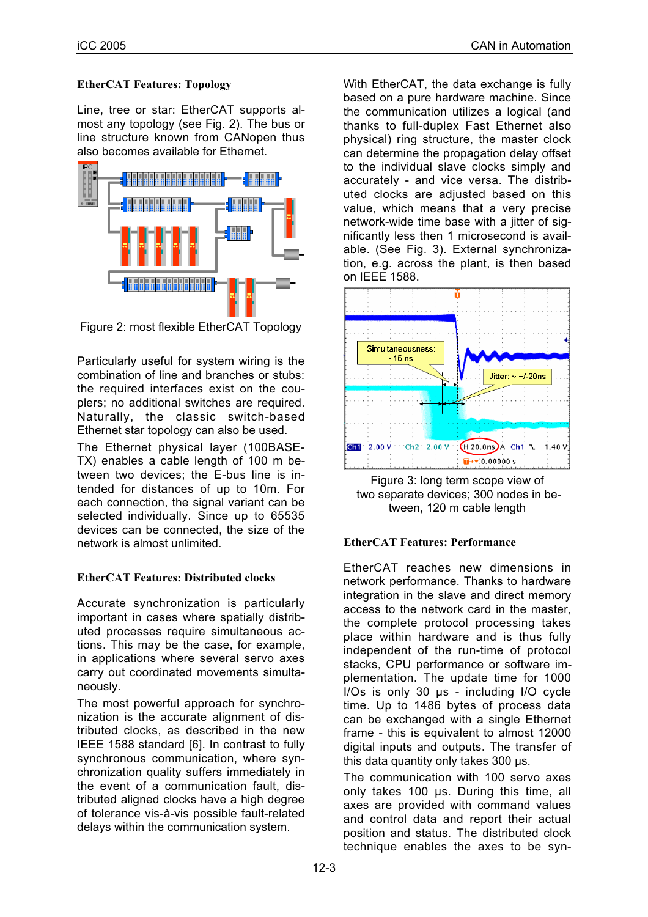## **EtherCAT Features: Topology**

Line, tree or star: EtherCAT supports almost any topology (see Fig. 2). The bus or line structure known from CANopen thus also becomes available for Ethernet.



Figure 2: most flexible EtherCAT Topology

Particularly useful for system wiring is the combination of line and branches or stubs: the required interfaces exist on the couplers; no additional switches are required. Naturally, the classic switch-based Ethernet star topology can also be used.

The Ethernet physical layer (100BASE-TX) enables a cable length of 100 m between two devices; the E-bus line is intended for distances of up to 10m. For each connection, the signal variant can be selected individually. Since up to 65535 devices can be connected, the size of the network is almost unlimited.

## **EtherCAT Features: Distributed clocks**

Accurate synchronization is particularly important in cases where spatially distributed processes require simultaneous actions. This may be the case, for example, in applications where several servo axes carry out coordinated movements simultaneously.

The most powerful approach for synchronization is the accurate alignment of distributed clocks, as described in the new IEEE 1588 standard [6]. In contrast to fully synchronous communication, where synchronization quality suffers immediately in the event of a communication fault, distributed aligned clocks have a high degree of tolerance vis-à-vis possible fault-related delays within the communication system.

With EtherCAT, the data exchange is fully based on a pure hardware machine. Since the communication utilizes a logical (and thanks to full-duplex Fast Ethernet also physical) ring structure, the master clock can determine the propagation delay offset to the individual slave clocks simply and accurately - and vice versa. The distributed clocks are adjusted based on this value, which means that a very precise network-wide time base with a jitter of significantly less then 1 microsecond is available. (See Fig. 3). External synchronization, e.g. across the plant, is then based on IEEE 1588.





## **EtherCAT Features: Performance**

EtherCAT reaches new dimensions in network performance. Thanks to hardware integration in the slave and direct memory access to the network card in the master, the complete protocol processing takes place within hardware and is thus fully independent of the run-time of protocol stacks, CPU performance or software implementation. The update time for 1000 I/Os is only 30 µs - including I/O cycle time. Up to 1486 bytes of process data can be exchanged with a single Ethernet frame - this is equivalent to almost 12000 digital inputs and outputs. The transfer of this data quantity only takes 300 µs.

The communication with 100 servo axes only takes 100 µs. During this time, all axes are provided with command values and control data and report their actual position and status. The distributed clock technique enables the axes to be syn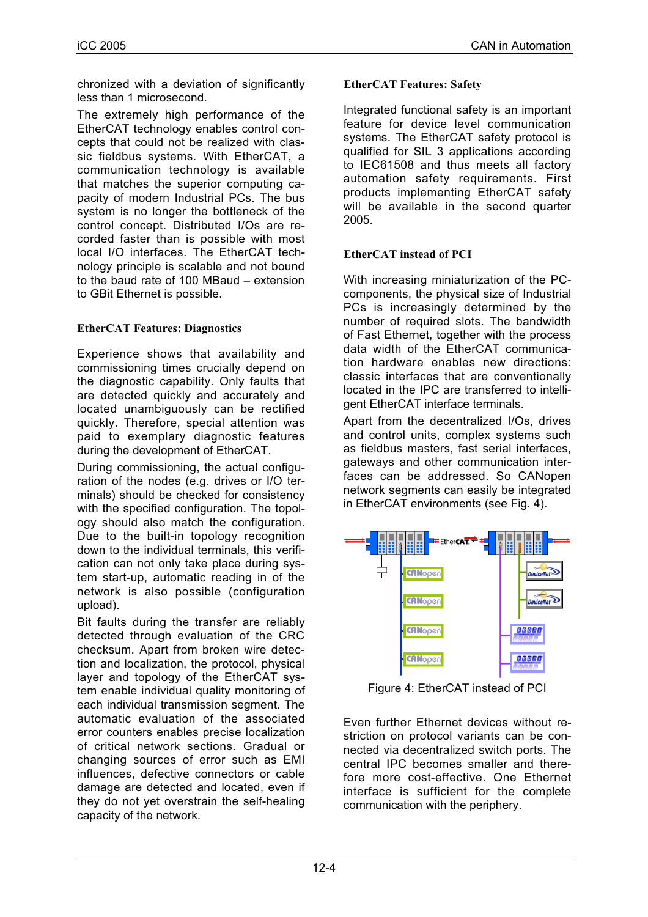chronized with a deviation of significantly less than 1 microsecond.

The extremely high performance of the EtherCAT technology enables control concepts that could not be realized with classic fieldbus systems. With EtherCAT, a communication technology is available that matches the superior computing capacity of modern Industrial PCs. The bus system is no longer the bottleneck of the control concept. Distributed I/Os are recorded faster than is possible with most local I/O interfaces. The EtherCAT technology principle is scalable and not bound to the baud rate of 100 MBaud – extension to GBit Ethernet is possible.

# **EtherCAT Features: Diagnostics**

Experience shows that availability and commissioning times crucially depend on the diagnostic capability. Only faults that are detected quickly and accurately and located unambiguously can be rectified quickly. Therefore, special attention was paid to exemplary diagnostic features during the development of EtherCAT.

During commissioning, the actual configuration of the nodes (e.g. drives or I/O terminals) should be checked for consistency with the specified configuration. The topology should also match the configuration. Due to the built-in topology recognition down to the individual terminals, this verification can not only take place during system start-up, automatic reading in of the network is also possible (configuration upload).

Bit faults during the transfer are reliably detected through evaluation of the CRC checksum. Apart from broken wire detection and localization, the protocol, physical layer and topology of the EtherCAT system enable individual quality monitoring of each individual transmission segment. The automatic evaluation of the associated error counters enables precise localization of critical network sections. Gradual or changing sources of error such as EMI influences, defective connectors or cable damage are detected and located, even if they do not yet overstrain the self-healing capacity of the network.

## **EtherCAT Features: Safety**

Integrated functional safety is an important feature for device level communication systems. The EtherCAT safety protocol is qualified for SIL 3 applications according to IEC61508 and thus meets all factory automation safety requirements. First products implementing EtherCAT safety will be available in the second quarter 2005.

## **EtherCAT instead of PCI**

With increasing miniaturization of the PCcomponents, the physical size of Industrial PCs is increasingly determined by the number of required slots. The bandwidth of Fast Ethernet, together with the process data width of the EtherCAT communication hardware enables new directions: classic interfaces that are conventionally located in the IPC are transferred to intelligent EtherCAT interface terminals.

Apart from the decentralized I/Os, drives and control units, complex systems such as fieldbus masters, fast serial interfaces, gateways and other communication interfaces can be addressed. So CANopen network segments can easily be integrated in EtherCAT environments (see Fig. 4).



Figure 4: EtherCAT instead of PCI

Even further Ethernet devices without restriction on protocol variants can be connected via decentralized switch ports. The central IPC becomes smaller and therefore more cost-effective. One Ethernet interface is sufficient for the complete communication with the periphery.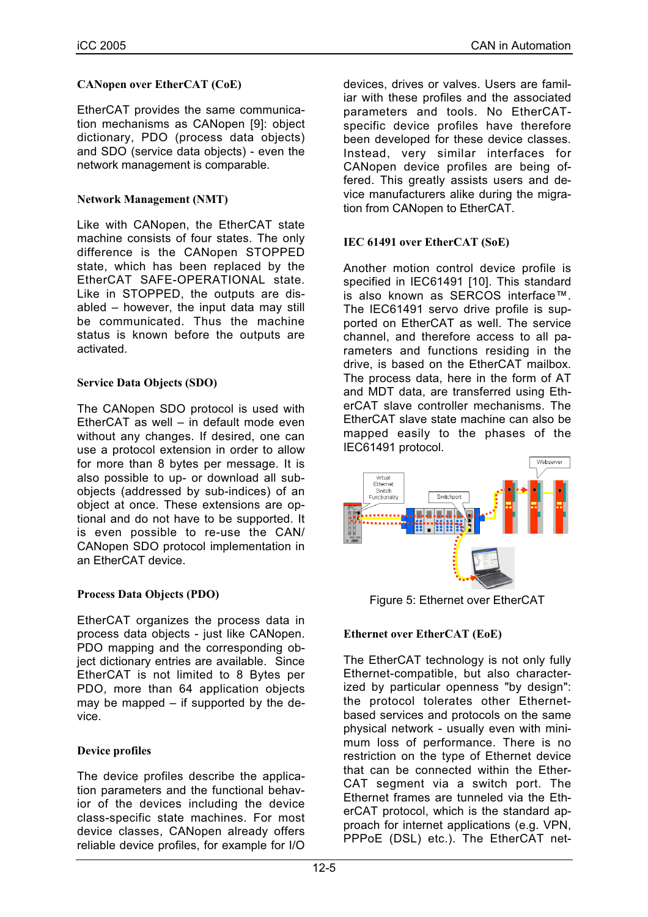## **CANopen over EtherCAT (CoE)**

EtherCAT provides the same communication mechanisms as CANopen [9]: object dictionary, PDO (process data objects) and SDO (service data objects) - even the network management is comparable.

#### **Network Management (NMT)**

Like with CANopen, the EtherCAT state machine consists of four states. The only difference is the CANopen STOPPED state, which has been replaced by the EtherCAT SAFE-OPERATIONAL state. Like in STOPPED, the outputs are disabled – however, the input data may still be communicated. Thus the machine status is known before the outputs are activated.

#### **Service Data Objects (SDO)**

The CANopen SDO protocol is used with EtherCAT as well – in default mode even without any changes. If desired, one can use a protocol extension in order to allow for more than 8 bytes per message. It is also possible to up- or download all subobjects (addressed by sub-indices) of an object at once. These extensions are optional and do not have to be supported. It is even possible to re-use the CAN/ CANopen SDO protocol implementation in an EtherCAT device.

## **Process Data Objects (PDO)**

EtherCAT organizes the process data in process data objects - just like CANopen. PDO mapping and the corresponding object dictionary entries are available. Since EtherCAT is not limited to 8 Bytes per PDO, more than 64 application objects may be mapped – if supported by the device.

## **Device profiles**

The device profiles describe the application parameters and the functional behavior of the devices including the device class-specific state machines. For most device classes, CANopen already offers reliable device profiles, for example for I/O

devices, drives or valves. Users are familiar with these profiles and the associated parameters and tools. No EtherCATspecific device profiles have therefore been developed for these device classes. Instead, very similar interfaces for CANopen device profiles are being offered. This greatly assists users and device manufacturers alike during the migration from CANopen to EtherCAT.

#### **IEC 61491 over EtherCAT (SoE)**

Another motion control device profile is specified in IEC61491 [10]. This standard is also known as SERCOS interface™. The IEC61491 servo drive profile is supported on EtherCAT as well. The service channel, and therefore access to all parameters and functions residing in the drive, is based on the EtherCAT mailbox. The process data, here in the form of AT and MDT data, are transferred using EtherCAT slave controller mechanisms. The EtherCAT slave state machine can also be mapped easily to the phases of the IEC61491 protocol.



Figure 5: Ethernet over EtherCAT

## **Ethernet over EtherCAT (EoE)**

The EtherCAT technology is not only fully Ethernet-compatible, but also characterized by particular openness "by design": the protocol tolerates other Ethernetbased services and protocols on the same physical network - usually even with minimum loss of performance. There is no restriction on the type of Ethernet device that can be connected within the Ether-CAT segment via a switch port. The Ethernet frames are tunneled via the EtherCAT protocol, which is the standard approach for internet applications (e.g. VPN, PPPoE (DSL) etc.). The EtherCAT net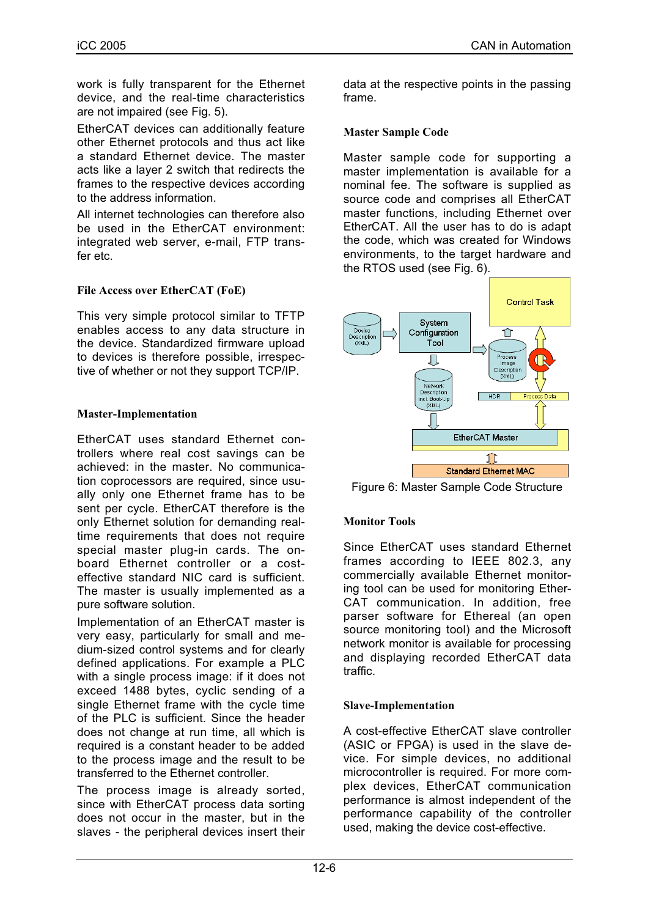work is fully transparent for the Ethernet device, and the real-time characteristics are not impaired (see Fig. 5).

EtherCAT devices can additionally feature other Ethernet protocols and thus act like a standard Ethernet device. The master acts like a layer 2 switch that redirects the frames to the respective devices according to the address information.

All internet technologies can therefore also be used in the EtherCAT environment: integrated web server, e-mail, FTP transfer etc.

## **File Access over EtherCAT (FoE)**

This very simple protocol similar to TFTP enables access to any data structure in the device. Standardized firmware upload to devices is therefore possible, irrespective of whether or not they support TCP/IP.

#### **Master-Implementation**

EtherCAT uses standard Ethernet controllers where real cost savings can be achieved: in the master. No communication coprocessors are required, since usually only one Ethernet frame has to be sent per cycle. EtherCAT therefore is the only Ethernet solution for demanding realtime requirements that does not require special master plug-in cards. The onboard Ethernet controller or a costeffective standard NIC card is sufficient. The master is usually implemented as a pure software solution.

Implementation of an EtherCAT master is very easy, particularly for small and medium-sized control systems and for clearly defined applications. For example a PLC with a single process image: if it does not exceed 1488 bytes, cyclic sending of a single Ethernet frame with the cycle time of the PLC is sufficient. Since the header does not change at run time, all which is required is a constant header to be added to the process image and the result to be transferred to the Ethernet controller.

The process image is already sorted, since with EtherCAT process data sorting does not occur in the master, but in the slaves - the peripheral devices insert their

data at the respective points in the passing frame.

#### **Master Sample Code**

Master sample code for supporting a master implementation is available for a nominal fee. The software is supplied as source code and comprises all EtherCAT master functions, including Ethernet over EtherCAT. All the user has to do is adapt the code, which was created for Windows environments, to the target hardware and the RTOS used (see Fig. 6).



Figure 6: Master Sample Code Structure

## **Monitor Tools**

Since EtherCAT uses standard Ethernet frames according to IEEE 802.3, any commercially available Ethernet monitoring tool can be used for monitoring Ether-CAT communication. In addition, free parser software for Ethereal (an open source monitoring tool) and the Microsoft network monitor is available for processing and displaying recorded EtherCAT data traffic.

#### **Slave-Implementation**

A cost-effective EtherCAT slave controller (ASIC or FPGA) is used in the slave device. For simple devices, no additional microcontroller is required. For more complex devices, EtherCAT communication performance is almost independent of the performance capability of the controller used, making the device cost-effective.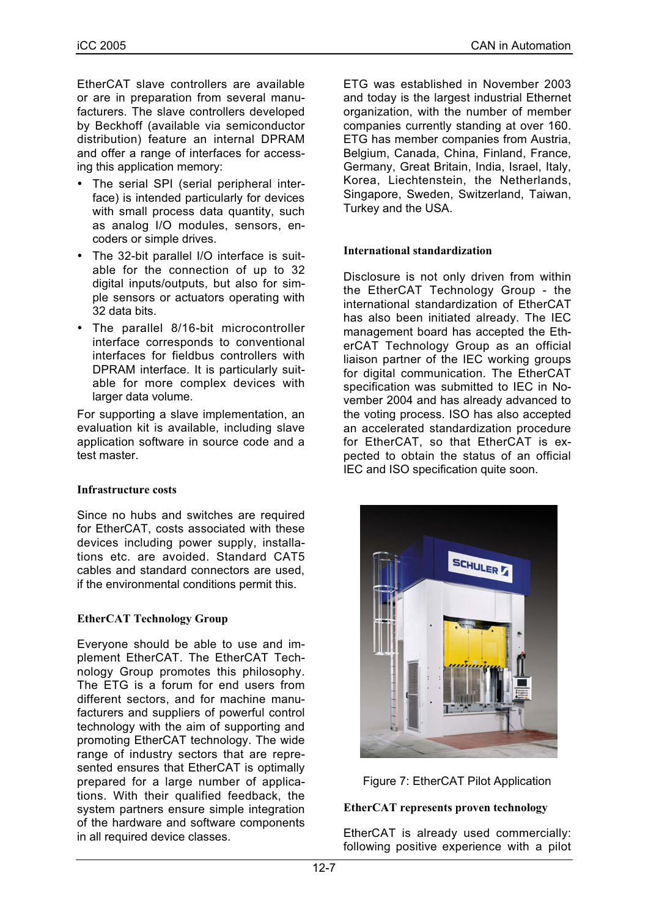EtherCAT slave controllers are available or are in preparation from several manufacturers. The slave controllers developed by Beckhoff (available via semiconductor distribution) feature an internal DPRAM and offer a range of interfaces for accessing this application memory:

- The serial SPI (serial peripheral interface) is intended particularly for devices with small process data quantity, such as analog I/O modules, sensors, encoders or simple drives.
- The 32-bit parallel I/O interface is suitable for the connection of up to 32 digital inputs/outputs, but also for simple sensors or actuators operating with 32 data bits.
- The parallel 8/16-bit microcontroller interface corresponds to conventional interfaces for fieldbus controllers with DPRAM interface. It is particularly suitable for more complex devices with larger data volume.

For supporting a slave implementation, an evaluation kit is available, including slave application software in source code and a test master.

#### **Infrastructure costs**

Since no hubs and switches are required for EtherCAT, costs associated with these devices including power supply, installations etc. are avoided. Standard CAT5 cables and standard connectors are used, if the environmental conditions permit this.

#### **EtherCAT Technology Group**

Everyone should be able to use and implement EtherCAT. The EtherCAT Technology Group promotes this philosophy. The ETG is a forum for end users from different sectors, and for machine manufacturers and suppliers of powerful control technology with the aim of supporting and promoting EtherCAT technology. The wide range of industry sectors that are represented ensures that EtherCAT is optimally prepared for a large number of applications. With their qualified feedback, the system partners ensure simple integration of the hardware and software components in all required device classes.

ETG was established in November 2003 and today is the largest industrial Ethernet organization, with the number of member companies currently standing at over 160. ETG has member companies from Austria, Belgium, Canada, China, Finland, France, Germany, Great Britain, India, Israel, Italy, Korea, Liechtenstein, the Netherlands, Singapore, Sweden, Switzerland, Taiwan, Turkey and the USA.

#### **International standardization**

Disclosure is not only driven from within the EtherCAT Technology Group - the international standardization of EtherCAT has also been initiated already. The IEC management board has accepted the EtherCAT Technology Group as an official liaison partner of the IEC working groups for digital communication. The EtherCAT specification was submitted to IEC in November 2004 and has already advanced to the voting process. ISO has also accepted an accelerated standardization procedure for EtherCAT, so that EtherCAT is expected to obtain the status of an official IEC and ISO specification quite soon.





#### **EtherCAT represents proven technology**

EtherCAT is already used commercially: following positive experience with a pilot